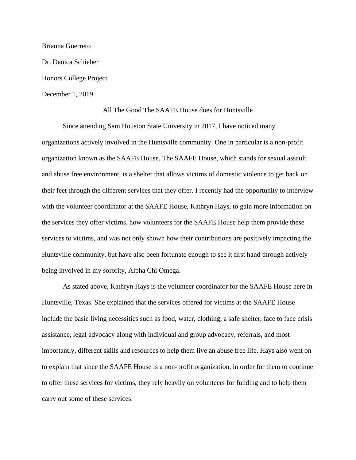Brianna Guerrero Dr. Danica Schieber Honors College Project December 1, 2019

## All The Good The SAAFE House does for Huntsville

Since attending Sam Houston State University in 2017, I have noticed many organizations actively involved in the Huntsville community. One in particular is a non-profit organization known as the SAAFE House. The SAAFE House, which stands for sexual assault and abuse free environment, is a shelter that allows victims of domestic violence to get back on their feet through the different services that they offer. I recently had the opportunity to interview with the volunteer coordinator at the SAAFE House, Kathryn Hays, to gain more information on the services they offer victims, how volunteers for the SAAFE House help them provide these services to victims, and was not only shown how their contributions are positively impacting the Huntsville community, but have also been fortunate enough to see it first hand through actively being involved in my sorority, Alpha Chi Omega.

As stated above, Kathryn Hays is the volunteer coordinator for the SAAFE House here in Huntsville, Texas. She explained that the services offered for victims at the SAAFE House include the basic living necessities such as food, water, clothing, a safe shelter, face to face crisis assistance, legal advocacy along with individual and group advocacy, referrals, and most importantly, different skills and resources to help them live an abuse free life. Hays also went on to explain that since the SAAFE House is a non-profit organization, in order for them to continue to offer these services for victims, they rely heavily on volunteers for funding and to help them carry out some of these services.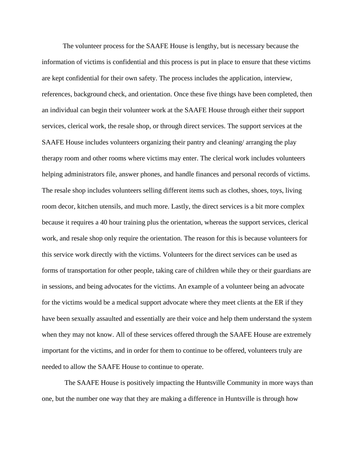The volunteer process for the SAAFE House is lengthy, but is necessary because the information of victims is confidential and this process is put in place to ensure that these victims are kept confidential for their own safety. The process includes the application, interview, references, background check, and orientation. Once these five things have been completed, then an individual can begin their volunteer work at the SAAFE House through either their support services, clerical work, the resale shop, or through direct services. The support services at the SAAFE House includes volunteers organizing their pantry and cleaning/ arranging the play therapy room and other rooms where victims may enter. The clerical work includes volunteers helping administrators file, answer phones, and handle finances and personal records of victims. The resale shop includes volunteers selling different items such as clothes, shoes, toys, living room decor, kitchen utensils, and much more. Lastly, the direct services is a bit more complex because it requires a 40 hour training plus the orientation, whereas the support services, clerical work, and resale shop only require the orientation. The reason for this is because volunteers for this service work directly with the victims. Volunteers for the direct services can be used as forms of transportation for other people, taking care of children while they or their guardians are in sessions, and being advocates for the victims. An example of a volunteer being an advocate for the victims would be a medical support advocate where they meet clients at the ER if they have been sexually assaulted and essentially are their voice and help them understand the system when they may not know. All of these services offered through the SAAFE House are extremely important for the victims, and in order for them to continue to be offered, volunteers truly are needed to allow the SAAFE House to continue to operate.

The SAAFE House is positively impacting the Huntsville Community in more ways than one, but the number one way that they are making a difference in Huntsville is through how